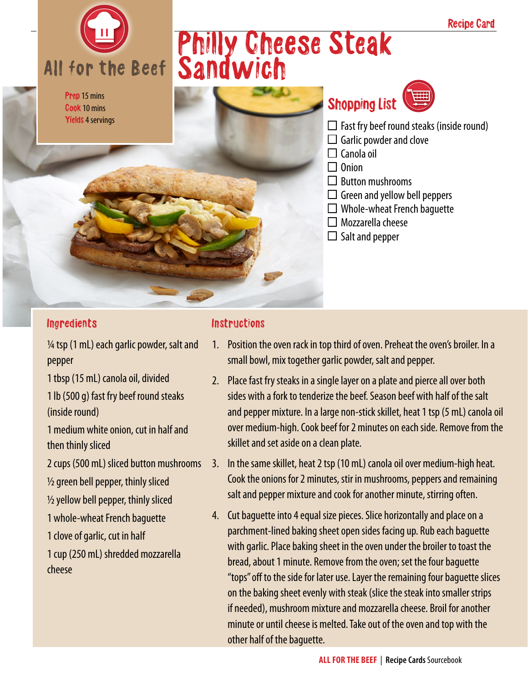# All for the Beef

Prep 15 mins Cook 10 mins Yields 4 servings

## Philly Cheese Steak Sandwich





- $\Box$  Fast fry beef round steaks (inside round)
- $\Box$  Garlic powder and clove
- $\Box$  Canola oil
- $\Box$  Onion
- $\Box$  Button mushrooms
- $\Box$  Green and yellow bell peppers
- $\Box$  Whole-wheat French baquette
- $\Box$  Mozzarella cheese
- $\Box$  Salt and pepper

#### **Ingredients**

 $\frac{1}{4}$  tsp (1 mL) each garlic powder, salt and pepper

1 tbsp (15 mL) canola oil, divided

1 lb (500 g) fast fry beef round steaks (inside round)

1 medium white onion, cut in half and then thinly sliced

2 cups (500 mL) sliced button mushrooms

 $\frac{1}{2}$  green bell pepper, thinly sliced

 $\frac{1}{2}$  yellow bell pepper, thinly sliced

1 whole-wheat French baguette

1 clove of garlic, cut in half

1 cup (250 mL) shredded mozzarella cheese

#### Instructions

- 1. Position the oven rack in top third of oven. Preheat the oven's broiler. In a small bowl, mix together garlic powder, salt and pepper.
- 2. Place fast fry steaks in a single layer on a plate and pierce all over both sides with a fork to tenderize the beef. Season beef with half of the salt and pepper mixture. In a large non-stick skillet, heat 1 tsp (5 mL) canola oil over medium-high. Cook beef for 2 minutes on each side. Remove from the skillet and set aside on a clean plate.
- 3. In the same skillet, heat 2 tsp (10 mL) canola oil over medium-high heat. Cook the onions for 2 minutes, stir in mushrooms, peppers and remaining salt and pepper mixture and cook for another minute, stirring often.
- 4. Cut baguette into 4 equal size pieces. Slice horizontally and place on a parchment-lined baking sheet open sides facing up. Rub each baguette with garlic. Place baking sheet in the oven under the broiler to toast the bread, about 1 minute. Remove from the oven; set the four baguette "tops" off to the side for later use. Layer the remaining four baguette slices on the baking sheet evenly with steak (slice the steak into smaller strips if needed), mushroom mixture and mozzarella cheese. Broil for another minute or until cheese is melted. Take out of the oven and top with the other half of the baguette.